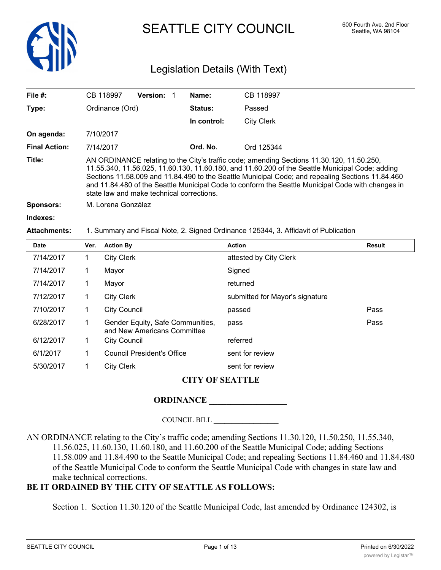

SEATTLE CITY COUNCIL 600 Fourth Ave. 2nd Floor

## Legislation Details (With Text)

| File $#$ :           | CB 118997                                                                                                                                                                                                                                                                                                                                                                                                                                          | <b>Version:</b> |  | Name:          | CB 118997         |  |
|----------------------|----------------------------------------------------------------------------------------------------------------------------------------------------------------------------------------------------------------------------------------------------------------------------------------------------------------------------------------------------------------------------------------------------------------------------------------------------|-----------------|--|----------------|-------------------|--|
| Type:                | Ordinance (Ord)                                                                                                                                                                                                                                                                                                                                                                                                                                    |                 |  | <b>Status:</b> | Passed            |  |
|                      |                                                                                                                                                                                                                                                                                                                                                                                                                                                    |                 |  | In control:    | <b>City Clerk</b> |  |
| On agenda:           | 7/10/2017                                                                                                                                                                                                                                                                                                                                                                                                                                          |                 |  |                |                   |  |
| <b>Final Action:</b> | 7/14/2017                                                                                                                                                                                                                                                                                                                                                                                                                                          |                 |  | Ord. No.       | Ord 125344        |  |
| Title:               | AN ORDINANCE relating to the City's traffic code; amending Sections 11.30.120, 11.50.250,<br>11.55.340, 11.56.025, 11.60.130, 11.60.180, and 11.60.200 of the Seattle Municipal Code; adding<br>Sections 11.58.009 and 11.84.490 to the Seattle Municipal Code; and repealing Sections 11.84.460<br>and 11.84.480 of the Seattle Municipal Code to conform the Seattle Municipal Code with changes in<br>state law and make technical corrections. |                 |  |                |                   |  |
| <b>Sponsors:</b>     | M. Lorena González                                                                                                                                                                                                                                                                                                                                                                                                                                 |                 |  |                |                   |  |
| Indexes:             |                                                                                                                                                                                                                                                                                                                                                                                                                                                    |                 |  |                |                   |  |

#### **Attachments:** 1. Summary and Fiscal Note, 2. Signed Ordinance 125344, 3. Affidavit of Publication

| Date      | Ver. | <b>Action By</b>                                                | <b>Action</b>                   | Result |
|-----------|------|-----------------------------------------------------------------|---------------------------------|--------|
| 7/14/2017 | 1    | <b>City Clerk</b>                                               | attested by City Clerk          |        |
| 7/14/2017 | 1    | Mayor                                                           | Signed                          |        |
| 7/14/2017 | 1    | Mayor                                                           | returned                        |        |
| 7/12/2017 | 1    | <b>City Clerk</b>                                               | submitted for Mayor's signature |        |
| 7/10/2017 | 1    | <b>City Council</b>                                             | passed                          | Pass   |
| 6/28/2017 | 1    | Gender Equity, Safe Communities,<br>and New Americans Committee | pass                            | Pass   |
| 6/12/2017 | 1    | <b>City Council</b>                                             | referred                        |        |
| 6/1/2017  | 1    | Council President's Office                                      | sent for review                 |        |
| 5/30/2017 | 1    | <b>City Clerk</b>                                               | sent for review                 |        |

## **CITY OF SEATTLE**

## **ORDINANCE \_\_\_\_\_\_\_\_\_\_\_\_\_\_\_\_\_\_**

COUNCIL BILL \_\_\_\_\_\_\_\_\_\_\_\_\_\_\_\_\_\_

AN ORDINANCE relating to the City's traffic code; amending Sections 11.30.120, 11.50.250, 11.55.340, 11.56.025, 11.60.130, 11.60.180, and 11.60.200 of the Seattle Municipal Code; adding Sections 11.58.009 and 11.84.490 to the Seattle Municipal Code; and repealing Sections 11.84.460 and 11.84.480 of the Seattle Municipal Code to conform the Seattle Municipal Code with changes in state law and make technical corrections.

## **BE IT ORDAINED BY THE CITY OF SEATTLE AS FOLLOWS:**

Section 1. Section 11.30.120 of the Seattle Municipal Code, last amended by Ordinance 124302, is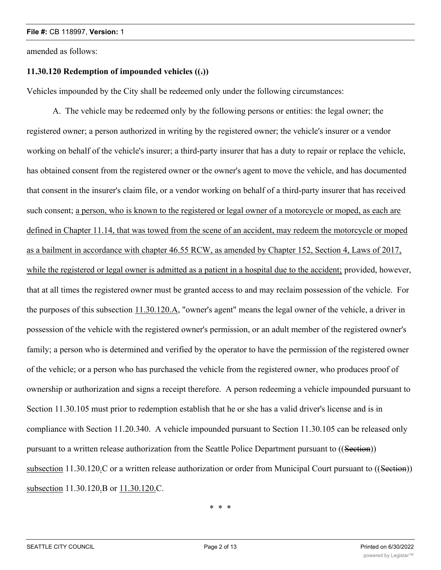amended as follows:

## **11.30.120 Redemption of impounded vehicles ((.))**

Vehicles impounded by the City shall be redeemed only under the following circumstances:

A. The vehicle may be redeemed only by the following persons or entities: the legal owner; the registered owner; a person authorized in writing by the registered owner; the vehicle's insurer or a vendor working on behalf of the vehicle's insurer; a third-party insurer that has a duty to repair or replace the vehicle, has obtained consent from the registered owner or the owner's agent to move the vehicle, and has documented that consent in the insurer's claim file, or a vendor working on behalf of a third-party insurer that has received such consent; a person, who is known to the registered or legal owner of a motorcycle or moped, as each are defined in Chapter 11.14, that was towed from the scene of an accident, may redeem the motorcycle or moped as a bailment in accordance with chapter 46.55 RCW, as amended by Chapter 152, Section 4, Laws of 2017, while the registered or legal owner is admitted as a patient in a hospital due to the accident; provided, however, that at all times the registered owner must be granted access to and may reclaim possession of the vehicle. For the purposes of this subsection 11.30.120.A, "owner's agent" means the legal owner of the vehicle, a driver in possession of the vehicle with the registered owner's permission, or an adult member of the registered owner's family; a person who is determined and verified by the operator to have the permission of the registered owner of the vehicle; or a person who has purchased the vehicle from the registered owner, who produces proof of ownership or authorization and signs a receipt therefore. A person redeeming a vehicle impounded pursuant to Section 11.30.105 must prior to redemption establish that he or she has a valid driver's license and is in compliance with Section 11.20.340. A vehicle impounded pursuant to Section 11.30.105 can be released only pursuant to a written release authorization from the Seattle Police Department pursuant to ((Section)) subsection 11.30.120.C or a written release authorization or order from Municipal Court pursuant to ((Section)) subsection 11.30.120.B or 11.30.120.C.

\* \* \*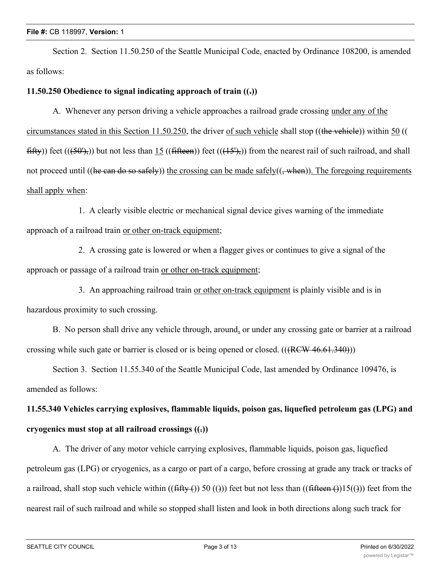#### **File #:** CB 118997, **Version:** 1

Section 2. Section 11.50.250 of the Seattle Municipal Code, enacted by Ordinance 108200, is amended as follows:

## **11.50.250 Obedience to signal indicating approach of train ((.))**

A. Whenever any person driving a vehicle approaches a railroad grade crossing under any of the circumstances stated in this Section 11.50.250, the driver of such vehicle shall stop ((the vehicle)) within 50 ((  $fiff(y)$ ) feet  $((50')<sub>5</sub>)$ ) but not less than 15  $((fiffeen))$  feet  $((15')<sub>5</sub>)$ ) from the nearest rail of such railroad, and shall not proceed until ((he can do so safely)) the crossing can be made safely( $(\frac{1}{2}$ when)). The foregoing requirements shall apply when:

1. A clearly visible electric or mechanical signal device gives warning of the immediate approach of a railroad train or other on-track equipment;

2. A crossing gate is lowered or when a flagger gives or continues to give a signal of the approach or passage of a railroad train or other on-track equipment;

3. An approaching railroad train or other on-track equipment is plainly visible and is in hazardous proximity to such crossing.

B. No person shall drive any vehicle through, around, or under any crossing gate or barrier at a railroad crossing while such gate or barrier is closed or is being opened or closed.  $(((RCW 46.61.340))$ )

Section 3. Section 11.55.340 of the Seattle Municipal Code, last amended by Ordinance 109476, is amended as follows:

# **11.55.340 Vehicles carrying explosives, flammable liquids, poison gas, liquefied petroleum gas (LPG) and cryogenics must stop at all railroad crossings ((.))**

A. The driver of any motor vehicle carrying explosives, flammable liquids, poison gas, liquefied petroleum gas (LPG) or cryogenics, as a cargo or part of a cargo, before crossing at grade any track or tracks of a railroad, shall stop such vehicle within  $((\text{fiffy-}()))$  50 (())) feet but not less than  $((\text{fiffeen-}()))$  feet from the nearest rail of such railroad and while so stopped shall listen and look in both directions along such track for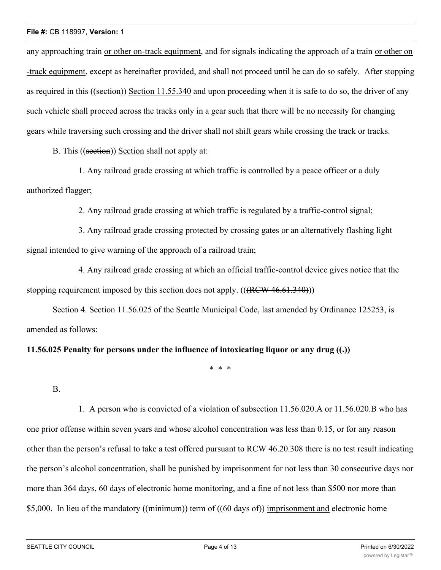any approaching train or other on-track equipment, and for signals indicating the approach of a train or other on -track equipment, except as hereinafter provided, and shall not proceed until he can do so safely. After stopping as required in this ((section)) Section 11.55.340 and upon proceeding when it is safe to do so, the driver of any such vehicle shall proceed across the tracks only in a gear such that there will be no necessity for changing gears while traversing such crossing and the driver shall not shift gears while crossing the track or tracks.

B. This ((section)) Section shall not apply at:

1. Any railroad grade crossing at which traffic is controlled by a peace officer or a duly authorized flagger;

2. Any railroad grade crossing at which traffic is regulated by a traffic-control signal;

3. Any railroad grade crossing protected by crossing gates or an alternatively flashing light signal intended to give warning of the approach of a railroad train;

4. Any railroad grade crossing at which an official traffic-control device gives notice that the stopping requirement imposed by this section does not apply.  $((RCW 46.61.340))$ 

Section 4. Section 11.56.025 of the Seattle Municipal Code, last amended by Ordinance 125253, is amended as follows:

## **11.56.025 Penalty for persons under the influence of intoxicating liquor or any drug ((.))**

\* \* \*

B.

1. A person who is convicted of a violation of subsection 11.56.020.A or 11.56.020.B who has one prior offense within seven years and whose alcohol concentration was less than 0.15, or for any reason other than the person's refusal to take a test offered pursuant to RCW 46.20.308 there is no test result indicating the person's alcohol concentration, shall be punished by imprisonment for not less than 30 consecutive days nor more than 364 days, 60 days of electronic home monitoring, and a fine of not less than \$500 nor more than \$5,000. In lieu of the mandatory ((minimum)) term of ((60 days of)) imprisonment and electronic home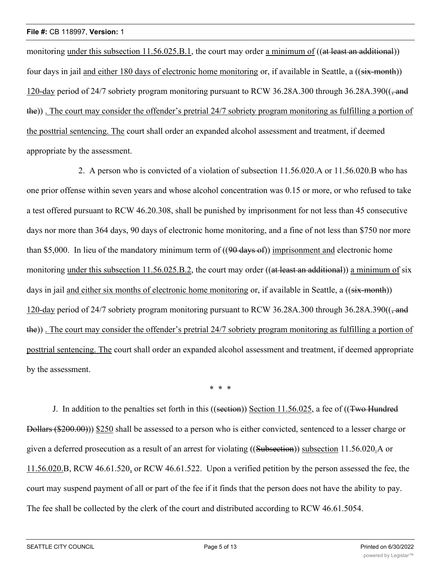monitoring under this subsection 11.56.025.B.1, the court may order a minimum of ((at least an additional)) four days in jail and either 180 days of electronic home monitoring or, if available in Seattle, a ((six-month)) 120-day period of 24/7 sobriety program monitoring pursuant to RCW 36.28A.300 through 36.28A.390((, and the)) . The court may consider the offender's pretrial 24/7 sobriety program monitoring as fulfilling a portion of the posttrial sentencing. The court shall order an expanded alcohol assessment and treatment, if deemed appropriate by the assessment.

2. A person who is convicted of a violation of subsection 11.56.020.A or 11.56.020.B who has one prior offense within seven years and whose alcohol concentration was 0.15 or more, or who refused to take a test offered pursuant to RCW 46.20.308, shall be punished by imprisonment for not less than 45 consecutive days nor more than 364 days, 90 days of electronic home monitoring, and a fine of not less than \$750 nor more than \$5,000. In lieu of the mandatory minimum term of  $((90 \text{ days of}))$  imprisonment and electronic home monitoring under this subsection 11.56.025.B.2, the court may order ((at least an additional)) a minimum of six days in jail and either six months of electronic home monitoring or, if available in Seattle, a ((six-month)) 120-day period of 24/7 sobriety program monitoring pursuant to RCW 36.28A.300 through 36.28A.390((, and the)) . The court may consider the offender's pretrial 24/7 sobriety program monitoring as fulfilling a portion of posttrial sentencing. The court shall order an expanded alcohol assessment and treatment, if deemed appropriate by the assessment.

\* \* \*

J. In addition to the penalties set forth in this ((section)) Section 11.56.025, a fee of ((Two Hundred Dollars (\$200.00))) \$250 shall be assessed to a person who is either convicted, sentenced to a lesser charge or given a deferred prosecution as a result of an arrest for violating ((Subsection)) subsection 11.56.020.A or 11.56.020.B, RCW 46.61.520, or RCW 46.61.522. Upon a verified petition by the person assessed the fee, the court may suspend payment of all or part of the fee if it finds that the person does not have the ability to pay. The fee shall be collected by the clerk of the court and distributed according to RCW 46.61.5054.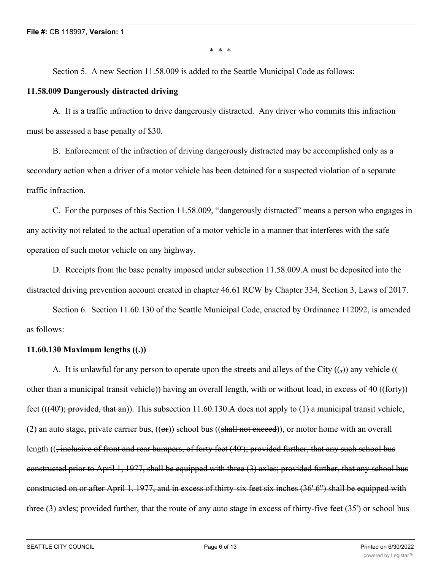\* \* \*

Section 5. A new Section 11.58.009 is added to the Seattle Municipal Code as follows:

## **11.58.009 Dangerously distracted driving**

A. It is a traffic infraction to drive dangerously distracted. Any driver who commits this infraction must be assessed a base penalty of \$30.

B. Enforcement of the infraction of driving dangerously distracted may be accomplished only as a secondary action when a driver of a motor vehicle has been detained for a suspected violation of a separate traffic infraction.

C. For the purposes of this Section 11.58.009, "dangerously distracted" means a person who engages in any activity not related to the actual operation of a motor vehicle in a manner that interferes with the safe operation of such motor vehicle on any highway.

D. Receipts from the base penalty imposed under subsection 11.58.009.A must be deposited into the distracted driving prevention account created in chapter 46.61 RCW by Chapter 334, Section 3, Laws of 2017.

Section 6. Section 11.60.130 of the Seattle Municipal Code, enacted by Ordinance 112092, is amended as follows:

## **11.60.130 Maximum lengths ((.))**

A. It is unlawful for any person to operate upon the streets and alleys of the City  $(\cdot)$  any vehicle (() other than a municipal transit vehicle)) having an overall length, with or without load, in excess of 40 ((forty)) feet  $(((40');$  provided, that an)). This subsection 11.60.130.A does not apply to (1) a municipal transit vehicle,  $(2)$  an auto stage, private carrier bus,  $((\Theta F))$  school bus  $((\theta F)$ ,  $(\theta F)$ , or motor home with an overall length ((, inclusive of front and rear bumpers, of forty feet (40'); provided further, that any such school bus constructed prior to April 1, 1977, shall be equipped with three (3) axles; provided further, that any school bus constructed on or after April 1, 1977, and in excess of thirty-six feet six inches (36' 6") shall be equipped with three (3) axles; provided further, that the route of any auto stage in excess of thirty-five feet (35') or school bus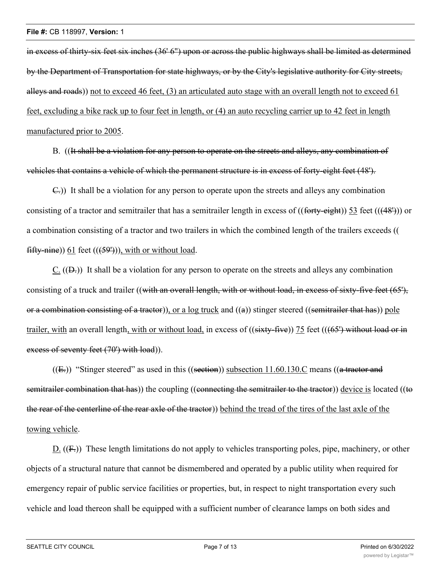in excess of thirty-six feet six inches (36' 6") upon or across the public highways shall be limited as determined by the Department of Transportation for state highways, or by the City's legislative authority for City streets, alleys and roads)) not to exceed 46 feet, (3) an articulated auto stage with an overall length not to exceed 61 feet, excluding a bike rack up to four feet in length, or (4) an auto recycling carrier up to 42 feet in length manufactured prior to 2005.

B. ((It shall be a violation for any person to operate on the streets and alleys, any combination of vehicles that contains a vehicle of which the permanent structure is in excess of forty-eight feet (48').

C.)) It shall be a violation for any person to operate upon the streets and alleys any combination consisting of a tractor and semitrailer that has a semitrailer length in excess of ((forty-eight)) 53 feet (((48'))) or a combination consisting of a tractor and two trailers in which the combined length of the trailers exceeds (( fifty-nine)) 61 feet  $((599))$ , with or without load.

C.  $((D<sub>z</sub>))$  It shall be a violation for any person to operate on the streets and alleys any combination consisting of a truck and trailer ((with an overall length, with or without load, in excess of sixty-five feet (65'), or a combination consisting of a tractor)), or a  $log$  truck and  $((a))$  stinger steered ((semitrailer that has)) pole trailer, with an overall length, with or without load, in excess of  $((sixty-five))$  75 feet  $(((65')$  without load or in excess of seventy feet (70') with load)).

 $((E))$  "Stinger steered" as used in this  $((section))$  subsection 11.60.130.C means  $((a$  tractor and semitrailer combination that has)) the coupling ((connecting the semitrailer to the tractor)) device is located ((to the rear of the centerline of the rear axle of the tractor)) behind the tread of the tires of the last axle of the towing vehicle.

D.  $((F<sub>z</sub>))$  These length limitations do not apply to vehicles transporting poles, pipe, machinery, or other objects of a structural nature that cannot be dismembered and operated by a public utility when required for emergency repair of public service facilities or properties, but, in respect to night transportation every such vehicle and load thereon shall be equipped with a sufficient number of clearance lamps on both sides and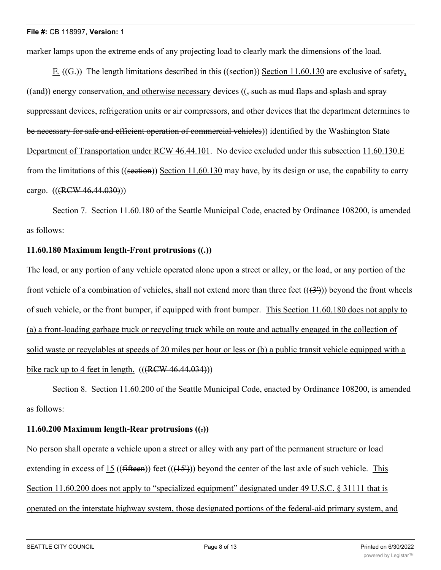marker lamps upon the extreme ends of any projecting load to clearly mark the dimensions of the load.

E.  $((G))$  The length limitations described in this  $((section))$  Section 11.60.130 are exclusive of safety,  $((and))$  energy conservation, and otherwise necessary devices  $((, such as mud flags and splash and spray)$ suppressant devices, refrigeration units or air compressors, and other devices that the department determines to be necessary for safe and efficient operation of commercial vehicles)) identified by the Washington State Department of Transportation under RCW 46.44.101. No device excluded under this subsection 11.60.130.E from the limitations of this ((section)) Section 11.60.130 may have, by its design or use, the capability to carry cargo. (((RCW 46.44.030)))

Section 7. Section 11.60.180 of the Seattle Municipal Code, enacted by Ordinance 108200, is amended as follows:

## **11.60.180 Maximum length-Front protrusions ((.))**

The load, or any portion of any vehicle operated alone upon a street or alley, or the load, or any portion of the front vehicle of a combination of vehicles, shall not extend more than three feet  $((3\text{))}$  beyond the front wheels of such vehicle, or the front bumper, if equipped with front bumper. This Section 11.60.180 does not apply to (a) a front-loading garbage truck or recycling truck while on route and actually engaged in the collection of solid waste or recyclables at speeds of 20 miles per hour or less or (b) a public transit vehicle equipped with a bike rack up to 4 feet in length.  $((RCW 46.44.034))$ 

Section 8. Section 11.60.200 of the Seattle Municipal Code, enacted by Ordinance 108200, is amended as follows:

## **11.60.200 Maximum length-Rear protrusions ((.))**

No person shall operate a vehicle upon a street or alley with any part of the permanent structure or load extending in excess of 15 ((fifteen)) feet (( $(15')$ )) beyond the center of the last axle of such vehicle. This Section 11.60.200 does not apply to "specialized equipment" designated under 49 U.S.C. § 31111 that is operated on the interstate highway system, those designated portions of the federal-aid primary system, and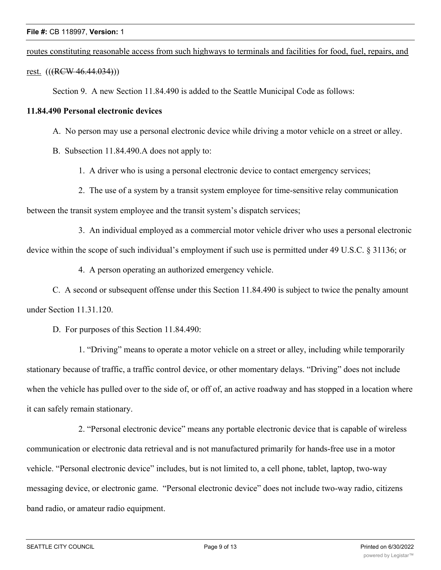routes constituting reasonable access from such highways to terminals and facilities for food, fuel, repairs, and

rest. (((RCW 46.44.034)))

Section 9. A new Section 11.84.490 is added to the Seattle Municipal Code as follows:

### **11.84.490 Personal electronic devices**

- A. No person may use a personal electronic device while driving a motor vehicle on a street or alley.
- B. Subsection 11.84.490.A does not apply to:
	- 1. A driver who is using a personal electronic device to contact emergency services;
	- 2. The use of a system by a transit system employee for time-sensitive relay communication

between the transit system employee and the transit system's dispatch services;

3. An individual employed as a commercial motor vehicle driver who uses a personal electronic device within the scope of such individual's employment if such use is permitted under 49 U.S.C. § 31136; or

4. A person operating an authorized emergency vehicle.

C. A second or subsequent offense under this Section 11.84.490 is subject to twice the penalty amount under Section 11.31.120.

D. For purposes of this Section 11.84.490:

1. "Driving" means to operate a motor vehicle on a street or alley, including while temporarily stationary because of traffic, a traffic control device, or other momentary delays. "Driving" does not include when the vehicle has pulled over to the side of, or off of, an active roadway and has stopped in a location where it can safely remain stationary.

2. "Personal electronic device" means any portable electronic device that is capable of wireless communication or electronic data retrieval and is not manufactured primarily for hands-free use in a motor vehicle. "Personal electronic device" includes, but is not limited to, a cell phone, tablet, laptop, two-way messaging device, or electronic game. "Personal electronic device" does not include two-way radio, citizens band radio, or amateur radio equipment.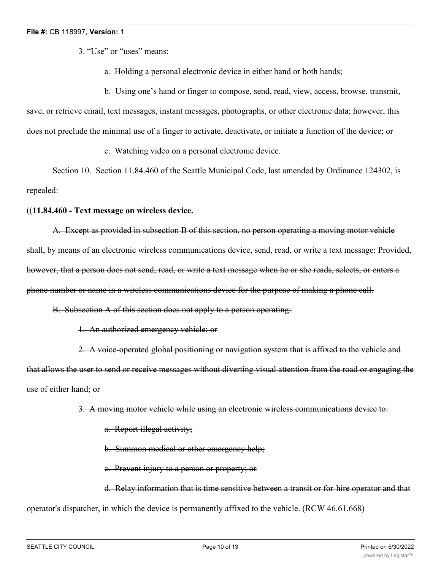3. "Use" or "uses" means:

- a. Holding a personal electronic device in either hand or both hands;
- b. Using one's hand or finger to compose, send, read, view, access, browse, transmit,

save, or retrieve email, text messages, instant messages, photographs, or other electronic data; however, this does not preclude the minimal use of a finger to activate, deactivate, or initiate a function of the device; or

c. Watching video on a personal electronic device.

Section 10. Section 11.84.460 of the Seattle Municipal Code, last amended by Ordinance 124302, is repealed:

#### ((**11.84.460 - Text message on wireless device.**

A. Except as provided in subsection B of this section, no person operating a moving motor vehicle shall, by means of an electronic wireless communications device, send, read, or write a text message: Provided, however, that a person does not send, read, or write a text message when he or she reads, selects, or enters a phone number or name in a wireless communications device for the purpose of making a phone call.

B. Subsection A of this section does not apply to a person operating:

1. An authorized emergency vehicle; or

2. A voice-operated global positioning or navigation system that is affixed to the vehicle and that allows the user to send or receive messages without diverting visual attention from the road or engaging the use of either hand; or

3. A moving motor vehicle while using an electronic wireless communications device to:

- a. Report illegal activity;
- b. Summon medical or other emergency help;
- c. Prevent injury to a person or property; or

d. Relay information that is time sensitive between a transit or for-hire operator and that operator's dispatcher, in which the device is permanently affixed to the vehicle. (RCW 46.61.668)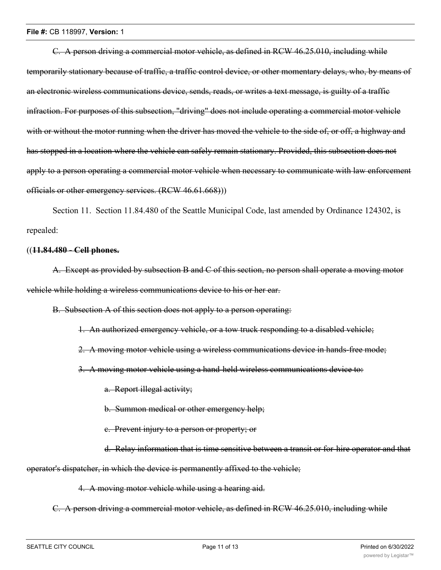C. A person driving a commercial motor vehicle, as defined in RCW 46.25.010, including while temporarily stationary because of traffic, a traffic control device, or other momentary delays, who, by means of an electronic wireless communications device, sends, reads, or writes a text message, is guilty of a traffic infraction. For purposes of this subsection, "driving" does not include operating a commercial motor vehicle with or without the motor running when the driver has moved the vehicle to the side of, or off, a highway and has stopped in a location where the vehicle can safely remain stationary. Provided, this subsection does not apply to a person operating a commercial motor vehicle when necessary to communicate with law enforcement officials or other emergency services. (RCW 46.61.668)))

Section 11. Section 11.84.480 of the Seattle Municipal Code, last amended by Ordinance 124302, is repealed:

#### ((**11.84.480 - Cell phones.**

A. Except as provided by subsection B and C of this section, no person shall operate a moving motor vehicle while holding a wireless communications device to his or her ear.

B. Subsection A of this section does not apply to a person operating:

1. An authorized emergency vehicle, or a tow truck responding to a disabled vehicle;

2. A moving motor vehicle using a wireless communications device in hands-free mode;

3. A moving motor vehicle using a hand-held wireless communications device to:

a. Report illegal activity;

b. Summon medical or other emergency help;

c. Prevent injury to a person or property; or

d. Relay information that is time sensitive between a transit or for-hire operator and that

operator's dispatcher, in which the device is permanently affixed to the vehicle;

4. A moving motor vehicle while using a hearing aid.

C. A person driving a commercial motor vehicle, as defined in RCW 46.25.010, including while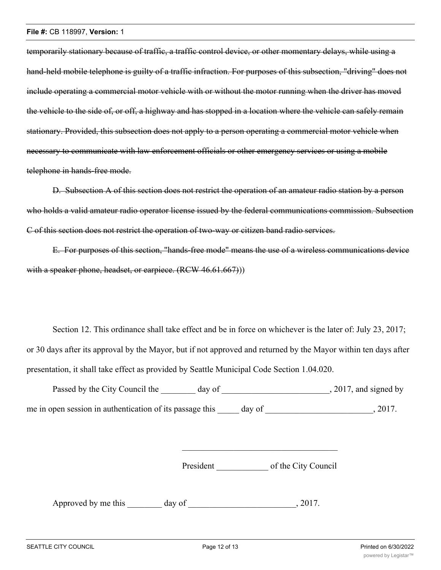temporarily stationary because of traffic, a traffic control device, or other momentary delays, while using a hand-held mobile telephone is guilty of a traffic infraction. For purposes of this subsection, "driving" does not include operating a commercial motor vehicle with or without the motor running when the driver has moved the vehicle to the side of, or off, a highway and has stopped in a location where the vehicle can safely remain stationary. Provided, this subsection does not apply to a person operating a commercial motor vehicle when necessary to communicate with law enforcement officials or other emergency services or using a mobile telephone in hands-free mode.

D. Subsection A of this section does not restrict the operation of an amateur radio station by a person who holds a valid amateur radio operator license issued by the federal communications commission. Subsection C of this section does not restrict the operation of two-way or citizen band radio services.

E. For purposes of this section, "hands-free mode" means the use of a wireless communications device with a speaker phone, headset, or earpiece. (RCW 46.61.667))

Section 12. This ordinance shall take effect and be in force on whichever is the later of: July 23, 2017; or 30 days after its approval by the Mayor, but if not approved and returned by the Mayor within ten days after presentation, it shall take effect as provided by Seattle Municipal Code Section 1.04.020.

| Passed by the City Council the<br>day of                 |        | , 2017, and signed by |
|----------------------------------------------------------|--------|-----------------------|
| me in open session in authentication of its passage this | day of | 2017.                 |

President of the City Council

Approved by me this \_\_\_\_\_\_\_\_ day of \_\_\_\_\_\_\_\_\_\_\_\_\_\_\_\_\_\_\_\_\_\_\_\_\_, 2017.